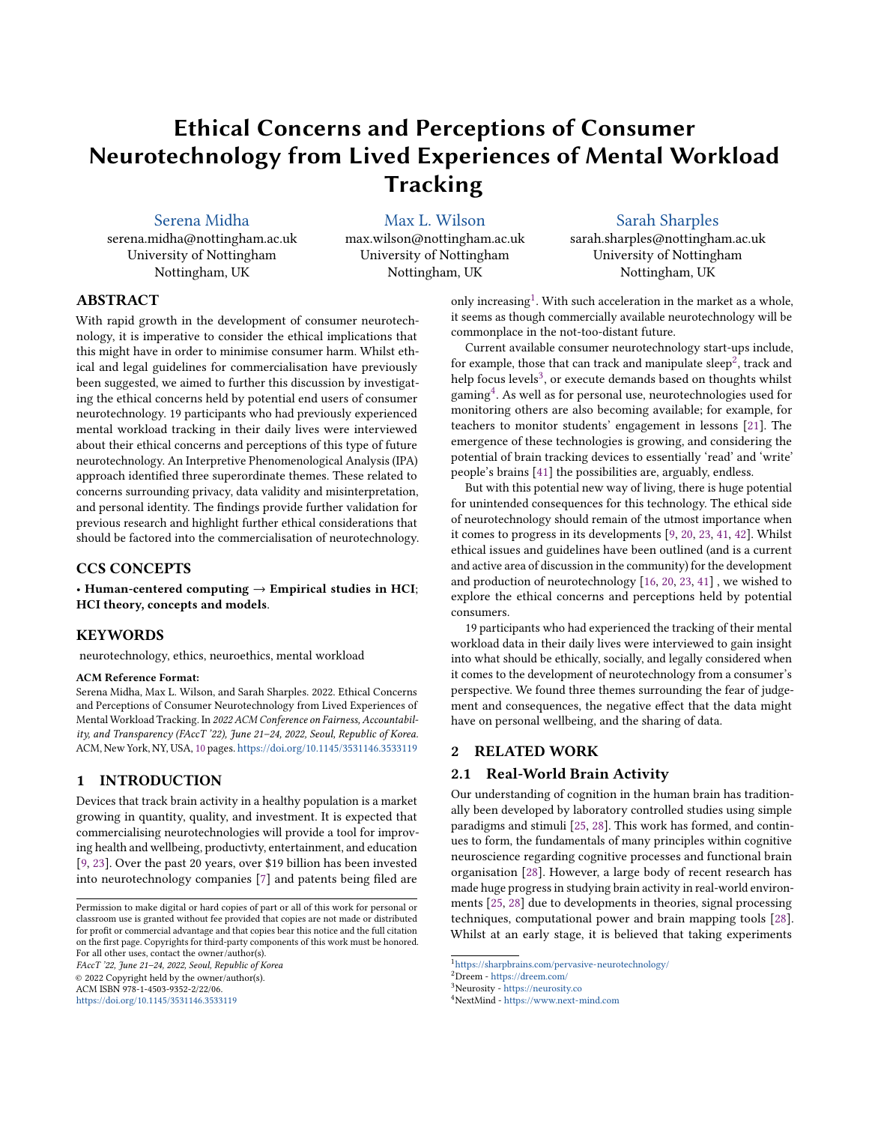# Ethical Concerns and Perceptions of Consumer Neurotechnology from Lived Experiences of Mental Workload **Tracking**

[Serena Midha](https://orcid.org/1234-5678-9012)

serena.midha@nottingham.ac.uk University of Nottingham Nottingham, UK

[Max L. Wilson](https://orcid.org/0000-0002-3515-6633)

max.wilson@nottingham.ac.uk University of Nottingham Nottingham, UK

## [Sarah Sharples](https://orcid.org/0000-0003-0288-915X)

sarah.sharples@nottingham.ac.uk University of Nottingham Nottingham, UK

## ABSTRACT

With rapid growth in the development of consumer neurotechnology, it is imperative to consider the ethical implications that this might have in order to minimise consumer harm. Whilst ethical and legal guidelines for commercialisation have previously been suggested, we aimed to further this discussion by investigating the ethical concerns held by potential end users of consumer neurotechnology. 19 participants who had previously experienced mental workload tracking in their daily lives were interviewed about their ethical concerns and perceptions of this type of future neurotechnology. An Interpretive Phenomenological Analysis (IPA) approach identified three superordinate themes. These related to concerns surrounding privacy, data validity and misinterpretation, and personal identity. The findings provide further validation for previous research and highlight further ethical considerations that should be factored into the commercialisation of neurotechnology.

#### CCS CONCEPTS

• Human-centered computing  $\rightarrow$  Empirical studies in HCI; HCI theory, concepts and models.

## **KEYWORDS**

neurotechnology, ethics, neuroethics, mental workload

#### ACM Reference Format:

Serena Midha, Max L. Wilson, and Sarah Sharples. 2022. Ethical Concerns and Perceptions of Consumer Neurotechnology from Lived Experiences of Mental Workload Tracking. In 2022 ACM Conference on Fairness, Accountability, and Transparency (FAccT '22), June 21–24, 2022, Seoul, Republic of Korea. ACM, New York, NY, USA, [10](#page-9-0) pages. <https://doi.org/10.1145/3531146.3533119>

## 1 INTRODUCTION

Devices that track brain activity in a healthy population is a market growing in quantity, quality, and investment. It is expected that commercialising neurotechnologies will provide a tool for improving health and wellbeing, productivty, entertainment, and education [\[9,](#page-9-1) [23\]](#page-9-2). Over the past 20 years, over \$19 billion has been invested into neurotechnology companies [\[7\]](#page-9-3) and patents being filed are

FAccT '22, June 21–24, 2022, Seoul, Republic of Korea © 2022 Copyright held by the owner/author(s). ACM ISBN 978-1-4503-9352-2/22/06.

<https://doi.org/10.1145/3531146.3533119>

only increasing<sup>[1](#page-0-0)</sup>. With such acceleration in the market as a whole, it seems as though commercially available neurotechnology will be commonplace in the not-too-distant future.

Current available consumer neurotechnology start-ups include, for example, those that can track and manipulate sleep $^2$  $^2$ , track and help focus levels<sup>[3](#page-0-2)</sup>, or execute demands based on thoughts whilst gaming $\rm ^4$  $\rm ^4$ . As well as for personal use, neurotechnologies used for monitoring others are also becoming available; for example, for teachers to monitor students' engagement in lessons [\[21\]](#page-9-4). The emergence of these technologies is growing, and considering the potential of brain tracking devices to essentially 'read' and 'write' people's brains [\[41\]](#page-9-5) the possibilities are, arguably, endless.

But with this potential new way of living, there is huge potential for unintended consequences for this technology. The ethical side of neurotechnology should remain of the utmost importance when it comes to progress in its developments [\[9,](#page-9-1) [20,](#page-9-6) [23,](#page-9-2) [41,](#page-9-5) [42\]](#page-9-7). Whilst ethical issues and guidelines have been outlined (and is a current and active area of discussion in the community) for the development and production of neurotechnology [\[16,](#page-9-8) [20,](#page-9-6) [23,](#page-9-2) [41\]](#page-9-5) , we wished to explore the ethical concerns and perceptions held by potential consumers.

19 participants who had experienced the tracking of their mental workload data in their daily lives were interviewed to gain insight into what should be ethically, socially, and legally considered when it comes to the development of neurotechnology from a consumer's perspective. We found three themes surrounding the fear of judgement and consequences, the negative effect that the data might have on personal wellbeing, and the sharing of data.

#### 2 RELATED WORK

#### 2.1 Real-World Brain Activity

Our understanding of cognition in the human brain has traditionally been developed by laboratory controlled studies using simple paradigms and stimuli [\[25,](#page-9-9) [28\]](#page-9-10). This work has formed, and continues to form, the fundamentals of many principles within cognitive neuroscience regarding cognitive processes and functional brain organisation [\[28\]](#page-9-10). However, a large body of recent research has made huge progress in studying brain activity in real-world environments [\[25,](#page-9-9) [28\]](#page-9-10) due to developments in theories, signal processing techniques, computational power and brain mapping tools [\[28\]](#page-9-10). Whilst at an early stage, it is believed that taking experiments

Permission to make digital or hard copies of part or all of this work for personal or classroom use is granted without fee provided that copies are not made or distributed for profit or commercial advantage and that copies bear this notice and the full citation on the first page. Copyrights for third-party components of this work must be honored. For all other uses, contact the owner/author(s).

<span id="page-0-0"></span><sup>1</sup><https://sharpbrains.com/pervasive-neurotechnology/>

<span id="page-0-1"></span><sup>2</sup>Dreem - <https://dreem.com/>

<span id="page-0-2"></span><sup>3</sup>Neurosity - <https://neurosity.co>

<span id="page-0-3"></span><sup>4</sup>NextMind - <https://www.next-mind.com>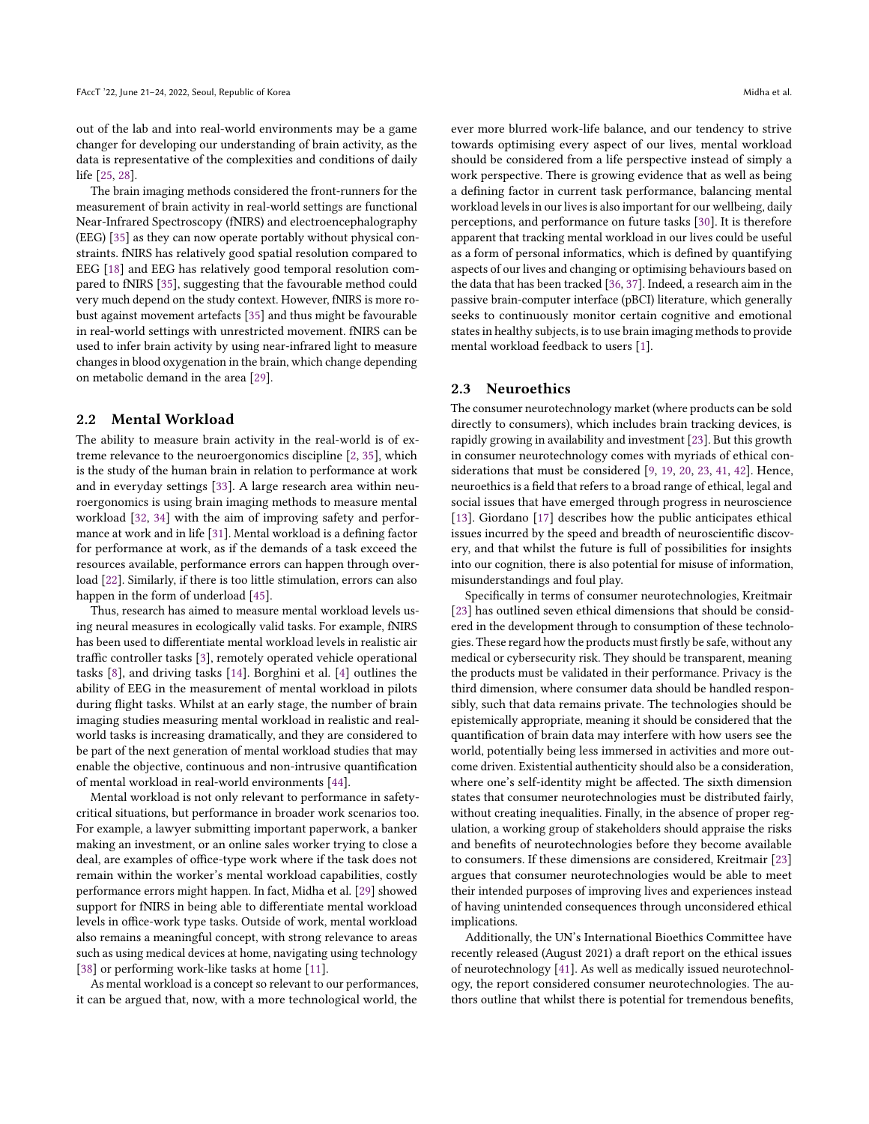out of the lab and into real-world environments may be a game changer for developing our understanding of brain activity, as the data is representative of the complexities and conditions of daily life [\[25,](#page-9-9) [28\]](#page-9-10).

The brain imaging methods considered the front-runners for the measurement of brain activity in real-world settings are functional Near-Infrared Spectroscopy (fNIRS) and electroencephalography (EEG) [\[35\]](#page-9-11) as they can now operate portably without physical constraints. fNIRS has relatively good spatial resolution compared to EEG [\[18\]](#page-9-12) and EEG has relatively good temporal resolution compared to fNIRS [\[35\]](#page-9-11), suggesting that the favourable method could very much depend on the study context. However, fNIRS is more robust against movement artefacts [\[35\]](#page-9-11) and thus might be favourable in real-world settings with unrestricted movement. fNIRS can be used to infer brain activity by using near-infrared light to measure changes in blood oxygenation in the brain, which change depending on metabolic demand in the area [\[29\]](#page-9-13).

### 2.2 Mental Workload

The ability to measure brain activity in the real-world is of extreme relevance to the neuroergonomics discipline [\[2,](#page-9-14) [35\]](#page-9-11), which is the study of the human brain in relation to performance at work and in everyday settings [\[33\]](#page-9-15). A large research area within neuroergonomics is using brain imaging methods to measure mental workload [\[32,](#page-9-16) [34\]](#page-9-17) with the aim of improving safety and performance at work and in life [\[31\]](#page-9-18). Mental workload is a defining factor for performance at work, as if the demands of a task exceed the resources available, performance errors can happen through overload [\[22\]](#page-9-19). Similarly, if there is too little stimulation, errors can also happen in the form of underload [\[45\]](#page-9-20).

Thus, research has aimed to measure mental workload levels using neural measures in ecologically valid tasks. For example, fNIRS has been used to differentiate mental workload levels in realistic air traffic controller tasks [\[3\]](#page-9-21), remotely operated vehicle operational tasks [\[8\]](#page-9-22), and driving tasks [\[14\]](#page-9-23). Borghini et al. [\[4\]](#page-9-24) outlines the ability of EEG in the measurement of mental workload in pilots during flight tasks. Whilst at an early stage, the number of brain imaging studies measuring mental workload in realistic and realworld tasks is increasing dramatically, and they are considered to be part of the next generation of mental workload studies that may enable the objective, continuous and non-intrusive quantification of mental workload in real-world environments [\[44\]](#page-9-25).

Mental workload is not only relevant to performance in safetycritical situations, but performance in broader work scenarios too. For example, a lawyer submitting important paperwork, a banker making an investment, or an online sales worker trying to close a deal, are examples of office-type work where if the task does not remain within the worker's mental workload capabilities, costly performance errors might happen. In fact, Midha et al. [\[29\]](#page-9-13) showed support for fNIRS in being able to differentiate mental workload levels in office-work type tasks. Outside of work, mental workload also remains a meaningful concept, with strong relevance to areas such as using medical devices at home, navigating using technology [\[38\]](#page-9-26) or performing work-like tasks at home [\[11\]](#page-9-27).

As mental workload is a concept so relevant to our performances, it can be argued that, now, with a more technological world, the ever more blurred work-life balance, and our tendency to strive towards optimising every aspect of our lives, mental workload should be considered from a life perspective instead of simply a work perspective. There is growing evidence that as well as being a defining factor in current task performance, balancing mental workload levels in our lives is also important for our wellbeing, daily perceptions, and performance on future tasks [\[30\]](#page-9-28). It is therefore apparent that tracking mental workload in our lives could be useful as a form of personal informatics, which is defined by quantifying aspects of our lives and changing or optimising behaviours based on the data that has been tracked [\[36,](#page-9-29) [37\]](#page-9-30). Indeed, a research aim in the passive brain-computer interface (pBCI) literature, which generally seeks to continuously monitor certain cognitive and emotional states in healthy subjects, is to use brain imaging methods to provide mental workload feedback to users [\[1\]](#page-9-31).

#### 2.3 Neuroethics

The consumer neurotechnology market (where products can be sold directly to consumers), which includes brain tracking devices, is rapidly growing in availability and investment [\[23\]](#page-9-2). But this growth in consumer neurotechnology comes with myriads of ethical considerations that must be considered [\[9,](#page-9-1) [19,](#page-9-32) [20,](#page-9-6) [23,](#page-9-2) [41,](#page-9-5) [42\]](#page-9-7). Hence, neuroethics is a field that refers to a broad range of ethical, legal and social issues that have emerged through progress in neuroscience [\[13\]](#page-9-33). Giordano [\[17\]](#page-9-34) describes how the public anticipates ethical issues incurred by the speed and breadth of neuroscientific discovery, and that whilst the future is full of possibilities for insights into our cognition, there is also potential for misuse of information, misunderstandings and foul play.

Specifically in terms of consumer neurotechnologies, Kreitmair [\[23\]](#page-9-2) has outlined seven ethical dimensions that should be considered in the development through to consumption of these technologies. These regard how the products must firstly be safe, without any medical or cybersecurity risk. They should be transparent, meaning the products must be validated in their performance. Privacy is the third dimension, where consumer data should be handled responsibly, such that data remains private. The technologies should be epistemically appropriate, meaning it should be considered that the quantification of brain data may interfere with how users see the world, potentially being less immersed in activities and more outcome driven. Existential authenticity should also be a consideration, where one's self-identity might be affected. The sixth dimension states that consumer neurotechnologies must be distributed fairly, without creating inequalities. Finally, in the absence of proper regulation, a working group of stakeholders should appraise the risks and benefits of neurotechnologies before they become available to consumers. If these dimensions are considered, Kreitmair [\[23\]](#page-9-2) argues that consumer neurotechnologies would be able to meet their intended purposes of improving lives and experiences instead of having unintended consequences through unconsidered ethical implications.

Additionally, the UN's International Bioethics Committee have recently released (August 2021) a draft report on the ethical issues of neurotechnology [\[41\]](#page-9-5). As well as medically issued neurotechnology, the report considered consumer neurotechnologies. The authors outline that whilst there is potential for tremendous benefits,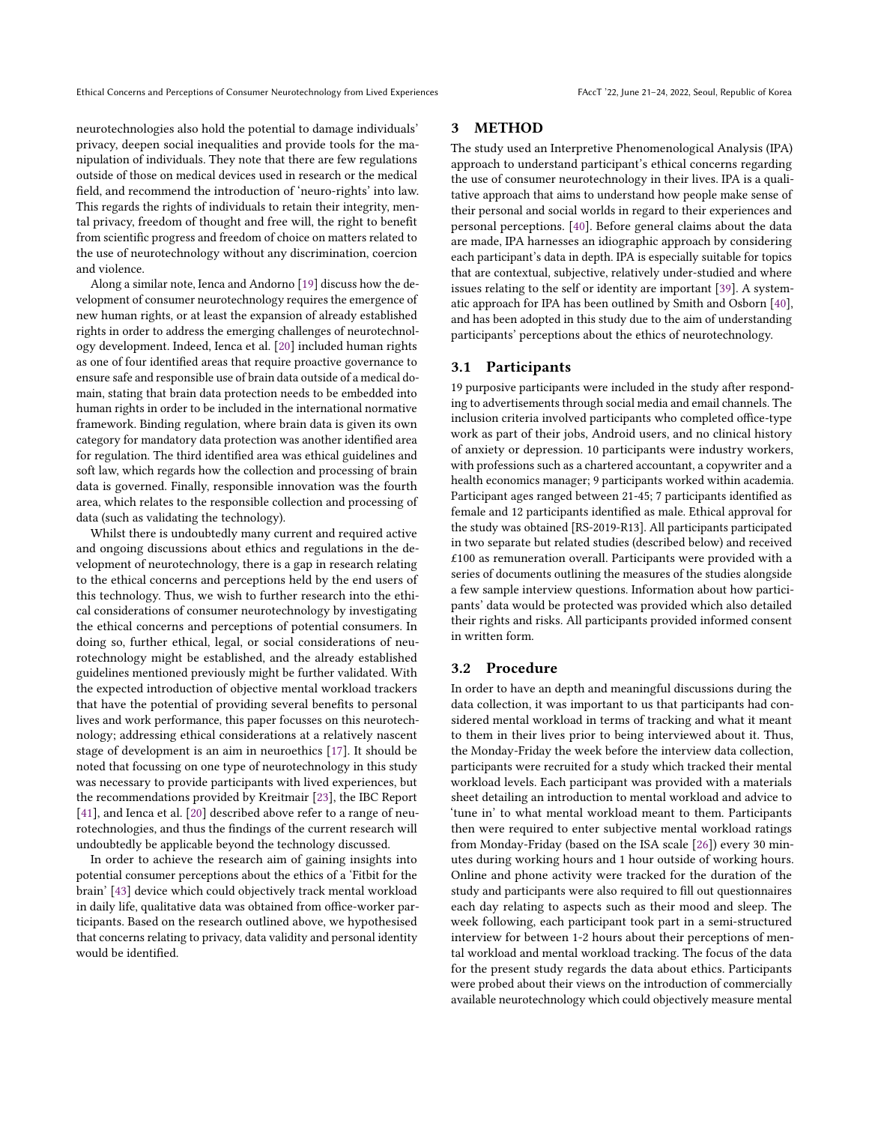Ethical Concerns and Perceptions of Consumer Neurotechnology from Lived Experiences FAccT '22, June 21-24, 2022, Seoul, Republic of Korea

neurotechnologies also hold the potential to damage individuals' privacy, deepen social inequalities and provide tools for the manipulation of individuals. They note that there are few regulations outside of those on medical devices used in research or the medical field, and recommend the introduction of 'neuro-rights' into law. This regards the rights of individuals to retain their integrity, mental privacy, freedom of thought and free will, the right to benefit from scientific progress and freedom of choice on matters related to the use of neurotechnology without any discrimination, coercion and violence.

Along a similar note, Ienca and Andorno [\[19\]](#page-9-32) discuss how the development of consumer neurotechnology requires the emergence of new human rights, or at least the expansion of already established rights in order to address the emerging challenges of neurotechnology development. Indeed, Ienca et al. [\[20\]](#page-9-6) included human rights as one of four identified areas that require proactive governance to ensure safe and responsible use of brain data outside of a medical domain, stating that brain data protection needs to be embedded into human rights in order to be included in the international normative framework. Binding regulation, where brain data is given its own category for mandatory data protection was another identified area for regulation. The third identified area was ethical guidelines and soft law, which regards how the collection and processing of brain data is governed. Finally, responsible innovation was the fourth area, which relates to the responsible collection and processing of data (such as validating the technology).

Whilst there is undoubtedly many current and required active and ongoing discussions about ethics and regulations in the development of neurotechnology, there is a gap in research relating to the ethical concerns and perceptions held by the end users of this technology. Thus, we wish to further research into the ethical considerations of consumer neurotechnology by investigating the ethical concerns and perceptions of potential consumers. In doing so, further ethical, legal, or social considerations of neurotechnology might be established, and the already established guidelines mentioned previously might be further validated. With the expected introduction of objective mental workload trackers that have the potential of providing several benefits to personal lives and work performance, this paper focusses on this neurotechnology; addressing ethical considerations at a relatively nascent stage of development is an aim in neuroethics [\[17\]](#page-9-34). It should be noted that focussing on one type of neurotechnology in this study was necessary to provide participants with lived experiences, but the recommendations provided by Kreitmair [\[23\]](#page-9-2), the IBC Report [\[41\]](#page-9-5), and Ienca et al. [\[20\]](#page-9-6) described above refer to a range of neurotechnologies, and thus the findings of the current research will undoubtedly be applicable beyond the technology discussed.

In order to achieve the research aim of gaining insights into potential consumer perceptions about the ethics of a 'Fitbit for the brain' [\[43\]](#page-9-35) device which could objectively track mental workload in daily life, qualitative data was obtained from office-worker participants. Based on the research outlined above, we hypothesised that concerns relating to privacy, data validity and personal identity would be identified.

### 3 METHOD

The study used an Interpretive Phenomenological Analysis (IPA) approach to understand participant's ethical concerns regarding the use of consumer neurotechnology in their lives. IPA is a qualitative approach that aims to understand how people make sense of their personal and social worlds in regard to their experiences and personal perceptions. [\[40\]](#page-9-36). Before general claims about the data are made, IPA harnesses an idiographic approach by considering each participant's data in depth. IPA is especially suitable for topics that are contextual, subjective, relatively under-studied and where issues relating to the self or identity are important [\[39\]](#page-9-37). A systematic approach for IPA has been outlined by Smith and Osborn [\[40\]](#page-9-36), and has been adopted in this study due to the aim of understanding participants' perceptions about the ethics of neurotechnology.

#### 3.1 Participants

19 purposive participants were included in the study after responding to advertisements through social media and email channels. The inclusion criteria involved participants who completed office-type work as part of their jobs, Android users, and no clinical history of anxiety or depression. 10 participants were industry workers, with professions such as a chartered accountant, a copywriter and a health economics manager; 9 participants worked within academia. Participant ages ranged between 21-45; 7 participants identified as female and 12 participants identified as male. Ethical approval for the study was obtained [RS-2019-R13]. All participants participated in two separate but related studies (described below) and received £100 as remuneration overall. Participants were provided with a series of documents outlining the measures of the studies alongside a few sample interview questions. Information about how participants' data would be protected was provided which also detailed their rights and risks. All participants provided informed consent in written form.

#### 3.2 Procedure

In order to have an depth and meaningful discussions during the data collection, it was important to us that participants had considered mental workload in terms of tracking and what it meant to them in their lives prior to being interviewed about it. Thus, the Monday-Friday the week before the interview data collection, participants were recruited for a study which tracked their mental workload levels. Each participant was provided with a materials sheet detailing an introduction to mental workload and advice to 'tune in' to what mental workload meant to them. Participants then were required to enter subjective mental workload ratings from Monday-Friday (based on the ISA scale [\[26\]](#page-9-38)) every 30 minutes during working hours and 1 hour outside of working hours. Online and phone activity were tracked for the duration of the study and participants were also required to fill out questionnaires each day relating to aspects such as their mood and sleep. The week following, each participant took part in a semi-structured interview for between 1-2 hours about their perceptions of mental workload and mental workload tracking. The focus of the data for the present study regards the data about ethics. Participants were probed about their views on the introduction of commercially available neurotechnology which could objectively measure mental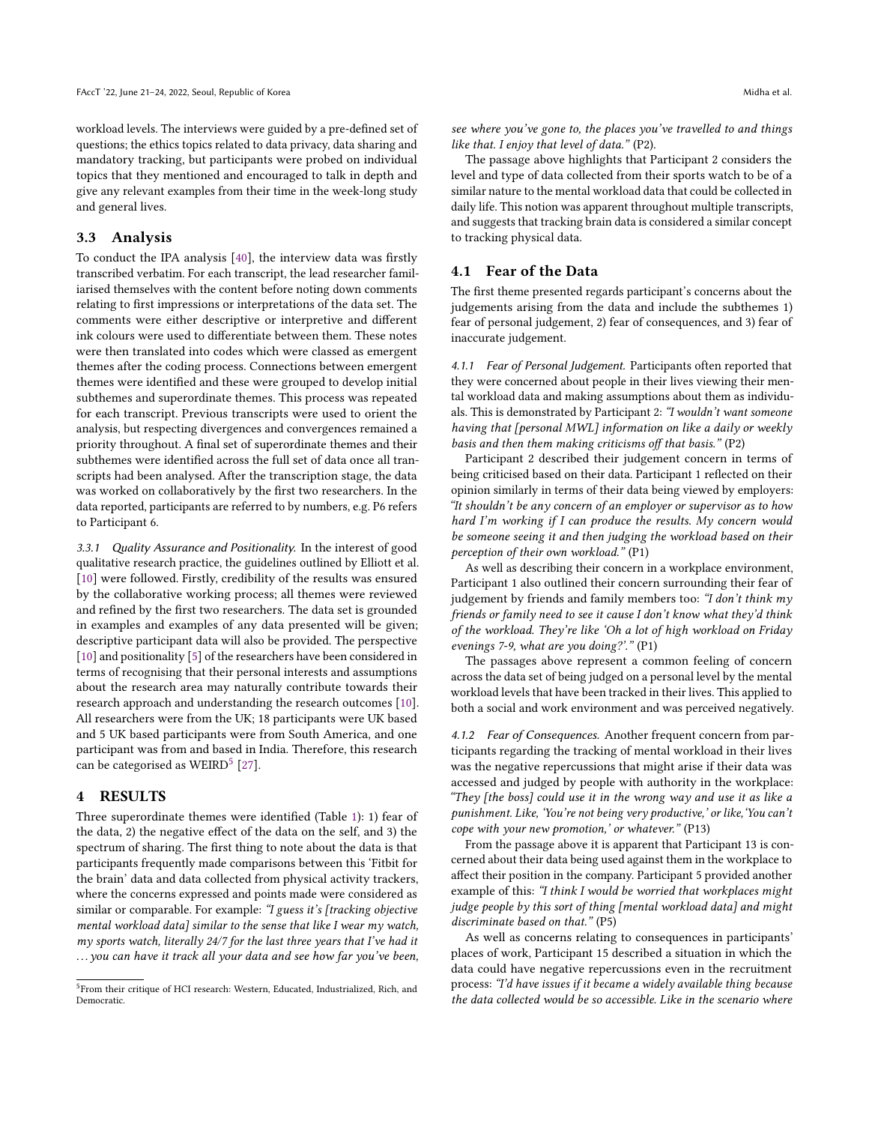workload levels. The interviews were guided by a pre-defined set of questions; the ethics topics related to data privacy, data sharing and mandatory tracking, but participants were probed on individual topics that they mentioned and encouraged to talk in depth and give any relevant examples from their time in the week-long study and general lives.

#### 3.3 Analysis

To conduct the IPA analysis [\[40\]](#page-9-36), the interview data was firstly transcribed verbatim. For each transcript, the lead researcher familiarised themselves with the content before noting down comments relating to first impressions or interpretations of the data set. The comments were either descriptive or interpretive and different ink colours were used to differentiate between them. These notes were then translated into codes which were classed as emergent themes after the coding process. Connections between emergent themes were identified and these were grouped to develop initial subthemes and superordinate themes. This process was repeated for each transcript. Previous transcripts were used to orient the analysis, but respecting divergences and convergences remained a priority throughout. A final set of superordinate themes and their subthemes were identified across the full set of data once all transcripts had been analysed. After the transcription stage, the data was worked on collaboratively by the first two researchers. In the data reported, participants are referred to by numbers, e.g. P6 refers to Participant 6.

3.3.1 Quality Assurance and Positionality. In the interest of good qualitative research practice, the guidelines outlined by Elliott et al. [\[10\]](#page-9-39) were followed. Firstly, credibility of the results was ensured by the collaborative working process; all themes were reviewed and refined by the first two researchers. The data set is grounded in examples and examples of any data presented will be given; descriptive participant data will also be provided. The perspective [\[10\]](#page-9-39) and positionality [\[5\]](#page-9-40) of the researchers have been considered in terms of recognising that their personal interests and assumptions about the research area may naturally contribute towards their research approach and understanding the research outcomes [\[10\]](#page-9-39). All researchers were from the UK; 18 participants were UK based and 5 UK based participants were from South America, and one participant was from and based in India. Therefore, this research can be categorised as  $WEIRD<sup>5</sup>$  $WEIRD<sup>5</sup>$  $WEIRD<sup>5</sup>$  [\[27\]](#page-9-41).

## 4 RESULTS

Three superordinate themes were identified (Table [1\)](#page-4-0): 1) fear of the data, 2) the negative effect of the data on the self, and 3) the spectrum of sharing. The first thing to note about the data is that participants frequently made comparisons between this 'Fitbit for the brain' data and data collected from physical activity trackers, where the concerns expressed and points made were considered as similar or comparable. For example: "I guess it's [tracking objective mental workload data] similar to the sense that like I wear my watch, my sports watch, literally 24/7 for the last three years that I've had it ... you can have it track all your data and see how far you've been,

see where you've gone to, the places you've travelled to and things like that. I enjoy that level of data." (P2).

The passage above highlights that Participant 2 considers the level and type of data collected from their sports watch to be of a similar nature to the mental workload data that could be collected in daily life. This notion was apparent throughout multiple transcripts, and suggests that tracking brain data is considered a similar concept to tracking physical data.

#### 4.1 Fear of the Data

The first theme presented regards participant's concerns about the judgements arising from the data and include the subthemes 1) fear of personal judgement, 2) fear of consequences, and 3) fear of inaccurate judgement.

4.1.1 Fear of Personal Judgement. Participants often reported that they were concerned about people in their lives viewing their mental workload data and making assumptions about them as individuals. This is demonstrated by Participant 2: "I wouldn't want someone having that [personal MWL] information on like a daily or weekly basis and then them making criticisms off that basis." (P2)

Participant 2 described their judgement concern in terms of being criticised based on their data. Participant 1 reflected on their opinion similarly in terms of their data being viewed by employers: "It shouldn't be any concern of an employer or supervisor as to how hard I'm working if I can produce the results. My concern would be someone seeing it and then judging the workload based on their perception of their own workload." (P1)

As well as describing their concern in a workplace environment, Participant 1 also outlined their concern surrounding their fear of judgement by friends and family members too: "I don't think my friends or family need to see it cause I don't know what they'd think of the workload. They're like 'Oh a lot of high workload on Friday evenings 7-9, what are you doing?'." (P1)

The passages above represent a common feeling of concern across the data set of being judged on a personal level by the mental workload levels that have been tracked in their lives. This applied to both a social and work environment and was perceived negatively.

4.1.2 Fear of Consequences. Another frequent concern from participants regarding the tracking of mental workload in their lives was the negative repercussions that might arise if their data was accessed and judged by people with authority in the workplace: "They [the boss] could use it in the wrong way and use it as like a punishment. Like, 'You're not being very productive,' or like,'You can't cope with your new promotion,' or whatever." (P13)

From the passage above it is apparent that Participant 13 is concerned about their data being used against them in the workplace to affect their position in the company. Participant 5 provided another example of this: "I think I would be worried that workplaces might judge people by this sort of thing [mental workload data] and might discriminate based on that." (P5)

As well as concerns relating to consequences in participants' places of work, Participant 15 described a situation in which the data could have negative repercussions even in the recruitment process: "I'd have issues if it became a widely available thing because the data collected would be so accessible. Like in the scenario where

<span id="page-3-0"></span><sup>5</sup> From their critique of HCI research: Western, Educated, Industrialized, Rich, and Democratic.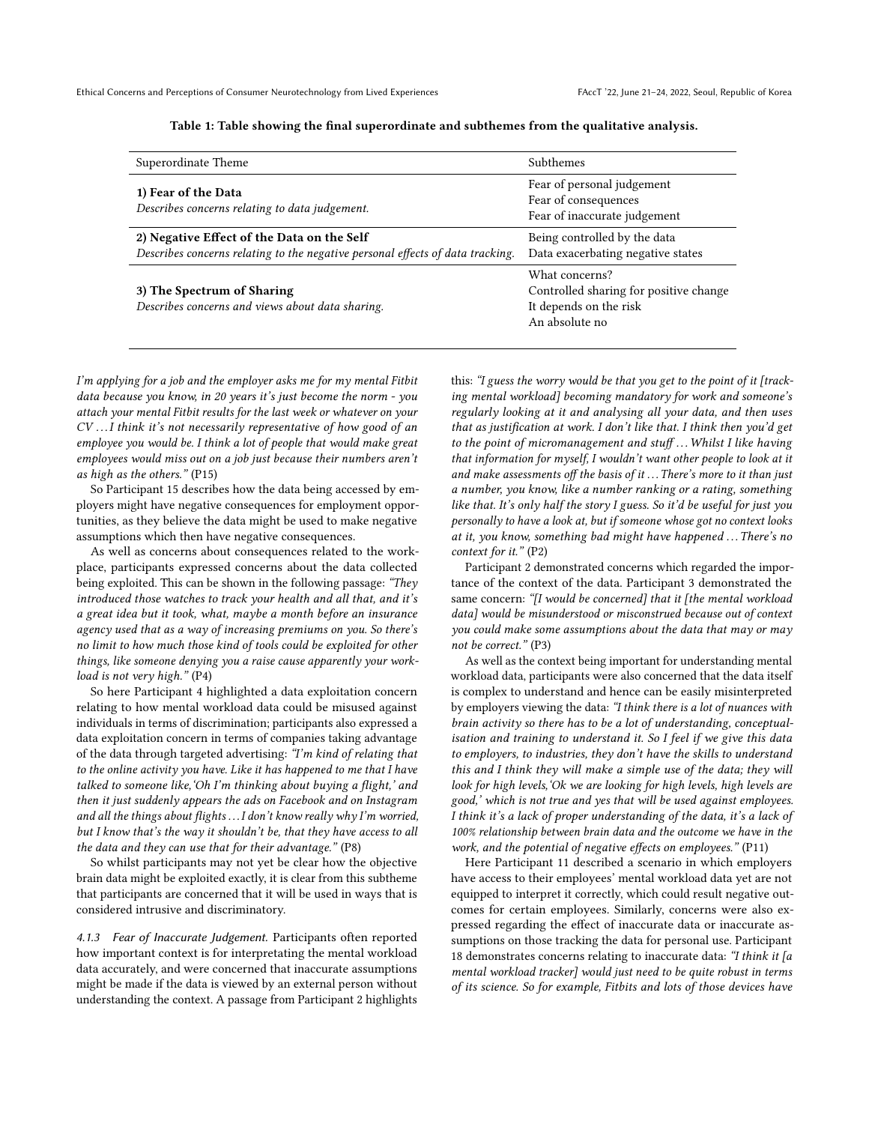<span id="page-4-0"></span>

| Superordinate Theme                                                                                                          | Subthemes                                                                                            |
|------------------------------------------------------------------------------------------------------------------------------|------------------------------------------------------------------------------------------------------|
| 1) Fear of the Data<br>Describes concerns relating to data judgement.                                                        | Fear of personal judgement<br>Fear of consequences<br>Fear of inaccurate judgement                   |
| 2) Negative Effect of the Data on the Self<br>Describes concerns relating to the negative personal effects of data tracking. | Being controlled by the data<br>Data exacerbating negative states                                    |
| 3) The Spectrum of Sharing<br>Describes concerns and views about data sharing.                                               | What concerns?<br>Controlled sharing for positive change<br>It depends on the risk<br>An absolute no |

Table 1: Table showing the final superordinate and subthemes from the qualitative analysis.

I'm applying for a job and the employer asks me for my mental Fitbit data because you know, in 20 years it's just become the norm - you attach your mental Fitbit results for the last week or whatever on your CV . . .I think it's not necessarily representative of how good of an employee you would be. I think a lot of people that would make great employees would miss out on a job just because their numbers aren't as high as the others." (P15)

So Participant 15 describes how the data being accessed by employers might have negative consequences for employment opportunities, as they believe the data might be used to make negative assumptions which then have negative consequences.

As well as concerns about consequences related to the workplace, participants expressed concerns about the data collected being exploited. This can be shown in the following passage: "They introduced those watches to track your health and all that, and it's a great idea but it took, what, maybe a month before an insurance agency used that as a way of increasing premiums on you. So there's no limit to how much those kind of tools could be exploited for other things, like someone denying you a raise cause apparently your workload is not very high." (P4)

So here Participant 4 highlighted a data exploitation concern relating to how mental workload data could be misused against individuals in terms of discrimination; participants also expressed a data exploitation concern in terms of companies taking advantage of the data through targeted advertising: "I'm kind of relating that to the online activity you have. Like it has happened to me that I have talked to someone like,'Oh I'm thinking about buying a flight,' and then it just suddenly appears the ads on Facebook and on Instagram and all the things about flights . . .I don't know really why I'm worried, but I know that's the way it shouldn't be, that they have access to all the data and they can use that for their advantage." (P8)

So whilst participants may not yet be clear how the objective brain data might be exploited exactly, it is clear from this subtheme that participants are concerned that it will be used in ways that is considered intrusive and discriminatory.

4.1.3 Fear of Inaccurate Judgement. Participants often reported how important context is for interpretating the mental workload data accurately, and were concerned that inaccurate assumptions might be made if the data is viewed by an external person without understanding the context. A passage from Participant 2 highlights this: "I guess the worry would be that you get to the point of it [tracking mental workload] becoming mandatory for work and someone's regularly looking at it and analysing all your data, and then uses that as justification at work. I don't like that. I think then you'd get to the point of micromanagement and stuff... Whilst I like having that information for myself, I wouldn't want other people to look at it and make assessments off the basis of it ... There's more to it than just a number, you know, like a number ranking or a rating, something like that. It's only half the story I guess. So it'd be useful for just you personally to have a look at, but if someone whose got no context looks at it, you know, something bad might have happened ... There's no context for it." (P2)

Participant 2 demonstrated concerns which regarded the importance of the context of the data. Participant 3 demonstrated the same concern: "[I would be concerned] that it [the mental workload data] would be misunderstood or misconstrued because out of context you could make some assumptions about the data that may or may not be correct." (P3)

As well as the context being important for understanding mental workload data, participants were also concerned that the data itself is complex to understand and hence can be easily misinterpreted by employers viewing the data: "I think there is a lot of nuances with brain activity so there has to be a lot of understanding, conceptualisation and training to understand it. So I feel if we give this data to employers, to industries, they don't have the skills to understand this and I think they will make a simple use of the data; they will look for high levels,'Ok we are looking for high levels, high levels are good,' which is not true and yes that will be used against employees. I think it's a lack of proper understanding of the data, it's a lack of 100% relationship between brain data and the outcome we have in the work, and the potential of negative effects on employees." (P11)

Here Participant 11 described a scenario in which employers have access to their employees' mental workload data yet are not equipped to interpret it correctly, which could result negative outcomes for certain employees. Similarly, concerns were also expressed regarding the effect of inaccurate data or inaccurate assumptions on those tracking the data for personal use. Participant 18 demonstrates concerns relating to inaccurate data: "I think it [a mental workload tracker] would just need to be quite robust in terms of its science. So for example, Fitbits and lots of those devices have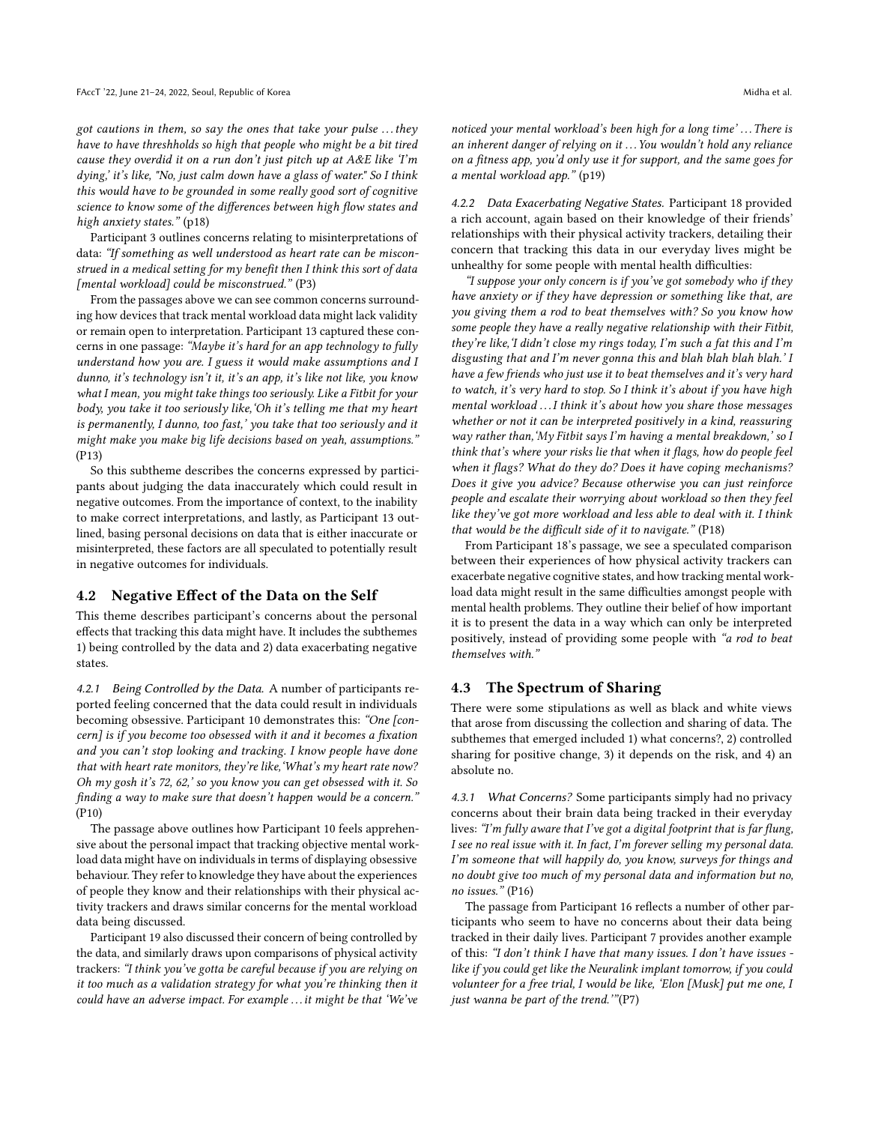got cautions in them, so say the ones that take your pulse . . . they have to have threshholds so high that people who might be a bit tired cause they overdid it on a run don't just pitch up at  $A \& E$  like  $Tm$ dying,' it's like, "No, just calm down have a glass of water." So I think this would have to be grounded in some really good sort of cognitive science to know some of the differences between high flow states and high anxiety states." (p18)

Participant 3 outlines concerns relating to misinterpretations of data: "If something as well understood as heart rate can be misconstrued in a medical setting for my benefit then I think this sort of data [mental workload] could be misconstrued." (P3)

From the passages above we can see common concerns surrounding how devices that track mental workload data might lack validity or remain open to interpretation. Participant 13 captured these concerns in one passage: "Maybe it's hard for an app technology to fully understand how you are. I guess it would make assumptions and I dunno, it's technology isn't it, it's an app, it's like not like, you know what I mean, you might take things too seriously. Like a Fitbit for your body, you take it too seriously like,'Oh it's telling me that my heart is permanently, I dunno, too fast,' you take that too seriously and it might make you make big life decisions based on yeah, assumptions." (P13)

So this subtheme describes the concerns expressed by participants about judging the data inaccurately which could result in negative outcomes. From the importance of context, to the inability to make correct interpretations, and lastly, as Participant 13 outlined, basing personal decisions on data that is either inaccurate or misinterpreted, these factors are all speculated to potentially result in negative outcomes for individuals.

#### 4.2 Negative Effect of the Data on the Self

This theme describes participant's concerns about the personal effects that tracking this data might have. It includes the subthemes 1) being controlled by the data and 2) data exacerbating negative states.

4.2.1 Being Controlled by the Data. A number of participants reported feeling concerned that the data could result in individuals becoming obsessive. Participant 10 demonstrates this: "One [concern] is if you become too obsessed with it and it becomes a fixation and you can't stop looking and tracking. I know people have done that with heart rate monitors, they're like,'What's my heart rate now? Oh my gosh it's 72, 62,' so you know you can get obsessed with it. So finding a way to make sure that doesn't happen would be a concern." (P10)

The passage above outlines how Participant 10 feels apprehensive about the personal impact that tracking objective mental workload data might have on individuals in terms of displaying obsessive behaviour. They refer to knowledge they have about the experiences of people they know and their relationships with their physical activity trackers and draws similar concerns for the mental workload data being discussed.

Participant 19 also discussed their concern of being controlled by the data, and similarly draws upon comparisons of physical activity trackers: "I think you've gotta be careful because if you are relying on it too much as a validation strategy for what you're thinking then it could have an adverse impact. For example . . .it might be that 'We've noticed your mental workload's been high for a long time'... There is an inherent danger of relying on it . . . You wouldn't hold any reliance on a fitness app, you'd only use it for support, and the same goes for a mental workload app." (p19)

4.2.2 Data Exacerbating Negative States. Participant 18 provided a rich account, again based on their knowledge of their friends' relationships with their physical activity trackers, detailing their concern that tracking this data in our everyday lives might be unhealthy for some people with mental health difficulties:

"I suppose your only concern is if you've got somebody who if they have anxiety or if they have depression or something like that, are you giving them a rod to beat themselves with? So you know how some people they have a really negative relationship with their Fitbit, they're like,'I didn't close my rings today, I'm such a fat this and I'm disgusting that and I'm never gonna this and blah blah blah blah.' I have a few friends who just use it to beat themselves and it's very hard to watch, it's very hard to stop. So I think it's about if you have high mental workload . . .I think it's about how you share those messages whether or not it can be interpreted positively in a kind, reassuring way rather than,'My Fitbit says I'm having a mental breakdown,' so I think that's where your risks lie that when it flags, how do people feel when it flags? What do they do? Does it have coping mechanisms? Does it give you advice? Because otherwise you can just reinforce people and escalate their worrying about workload so then they feel like they've got more workload and less able to deal with it. I think that would be the difficult side of it to navigate." (P18)

From Participant 18's passage, we see a speculated comparison between their experiences of how physical activity trackers can exacerbate negative cognitive states, and how tracking mental workload data might result in the same difficulties amongst people with mental health problems. They outline their belief of how important it is to present the data in a way which can only be interpreted positively, instead of providing some people with "a rod to beat themselves with."

#### 4.3 The Spectrum of Sharing

There were some stipulations as well as black and white views that arose from discussing the collection and sharing of data. The subthemes that emerged included 1) what concerns?, 2) controlled sharing for positive change, 3) it depends on the risk, and 4) an absolute no.

4.3.1 What Concerns? Some participants simply had no privacy concerns about their brain data being tracked in their everyday lives: "I'm fully aware that I've got a digital footprint that is far flung, I see no real issue with it. In fact, I'm forever selling my personal data. I'm someone that will happily do, you know, surveys for things and no doubt give too much of my personal data and information but no, no issues." (P16)

The passage from Participant 16 reflects a number of other participants who seem to have no concerns about their data being tracked in their daily lives. Participant 7 provides another example of this: "I don't think I have that many issues. I don't have issues like if you could get like the Neuralink implant tomorrow, if you could volunteer for a free trial, I would be like, 'Elon [Musk] put me one, I just wanna be part of the trend.'"(P7)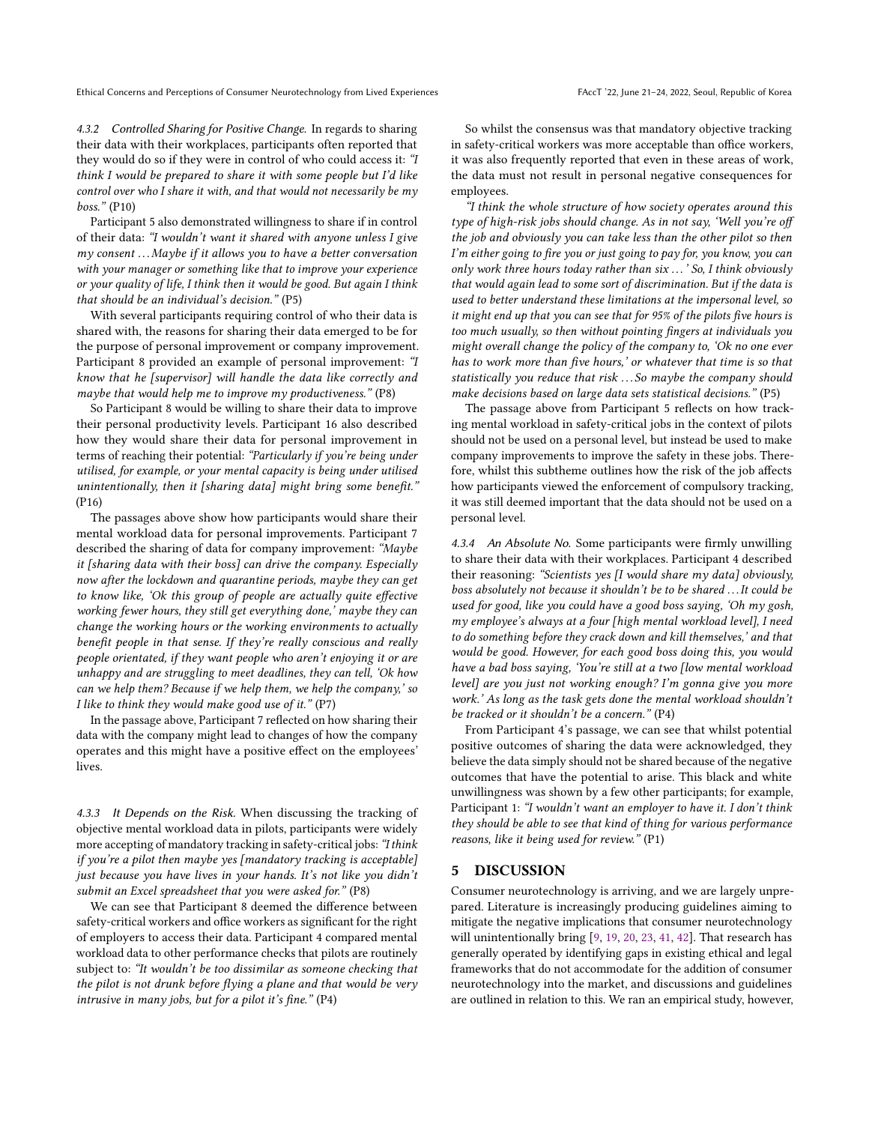Ethical Concerns and Perceptions of Consumer Neurotechnology from Lived Experiences FAccT '22, June 21-24, 2022, Seoul, Republic of Korea

4.3.2 Controlled Sharing for Positive Change. In regards to sharing their data with their workplaces, participants often reported that they would do so if they were in control of who could access it: "I think I would be prepared to share it with some people but I'd like control over who I share it with, and that would not necessarily be my boss." (P10)

Participant 5 also demonstrated willingness to share if in control of their data: "I wouldn't want it shared with anyone unless I give  $my$  consent  $\ldots$  Maybe if it allows you to have a better conversation with your manager or something like that to improve your experience or your quality of life, I think then it would be good. But again I think that should be an individual's decision." (P5)

With several participants requiring control of who their data is shared with, the reasons for sharing their data emerged to be for the purpose of personal improvement or company improvement. Participant 8 provided an example of personal improvement: "I know that he [supervisor] will handle the data like correctly and maybe that would help me to improve  $my$  productiveness."  $(P8)$ 

So Participant 8 would be willing to share their data to improve their personal productivity levels. Participant 16 also described how they would share their data for personal improvement in terms of reaching their potential: "Particularly if you're being under utilised, for example, or your mental capacity is being under utilised unintentionally, then it [sharing data] might bring some benefit." (P16)

The passages above show how participants would share their mental workload data for personal improvements. Participant 7 described the sharing of data for company improvement: "Maybe it [sharing data with their boss] can drive the company. Especially now after the lockdown and quarantine periods, maybe they can get to know like, 'Ok this group of people are actually quite effective working fewer hours, they still get everything done,' maybe they can change the working hours or the working environments to actually benefit people in that sense. If they're really conscious and really people orientated, if they want people who aren't enjoying it or are unhappy and are struggling to meet deadlines, they can tell, 'Ok how can we help them? Because if we help them, we help the company,' so I like to think they would make good use of it." (P7)

In the passage above, Participant 7 reflected on how sharing their data with the company might lead to changes of how the company operates and this might have a positive effect on the employees' lives.

4.3.3 It Depends on the Risk. When discussing the tracking of objective mental workload data in pilots, participants were widely more accepting of mandatory tracking in safety-critical jobs: "I think if you're a pilot then maybe yes [mandatory tracking is acceptable] just because you have lives in your hands. It's not like you didn't submit an Excel spreadsheet that you were asked for." (P8)

We can see that Participant 8 deemed the difference between safety-critical workers and office workers as significant for the right of employers to access their data. Participant 4 compared mental workload data to other performance checks that pilots are routinely subject to: "It wouldn't be too dissimilar as someone checking that the pilot is not drunk before flying a plane and that would be very intrusive in many jobs, but for a pilot it's fine." (P4)

So whilst the consensus was that mandatory objective tracking in safety-critical workers was more acceptable than office workers, it was also frequently reported that even in these areas of work, the data must not result in personal negative consequences for employees.

"I think the whole structure of how society operates around this type of high-risk jobs should change. As in not say, 'Well you're off the job and obviously you can take less than the other pilot so then I'm either going to fire you or just going to pay for, you know, you can only work three hours today rather than six . . .' So, I think obviously that would again lead to some sort of discrimination. But if the data is used to better understand these limitations at the impersonal level, so it might end up that you can see that for 95% of the pilots five hours is too much usually, so then without pointing fingers at individuals you might overall change the policy of the company to, 'Ok no one ever has to work more than five hours,' or whatever that time is so that statistically you reduce that risk . . . So maybe the company should make decisions based on large data sets statistical decisions." (P5)

The passage above from Participant 5 reflects on how tracking mental workload in safety-critical jobs in the context of pilots should not be used on a personal level, but instead be used to make company improvements to improve the safety in these jobs. Therefore, whilst this subtheme outlines how the risk of the job affects how participants viewed the enforcement of compulsory tracking, it was still deemed important that the data should not be used on a personal level.

4.3.4 An Absolute No. Some participants were firmly unwilling to share their data with their workplaces. Participant 4 described their reasoning: "Scientists yes [I would share my data] obviously, boss absolutely not because it shouldn't be to be shared . . .It could be used for good, like you could have a good boss saying, 'Oh my gosh, my employee's always at a four [high mental workload level], I need to do something before they crack down and kill themselves,' and that would be good. However, for each good boss doing this, you would have a bad boss saying, 'You're still at a two [low mental workload level] are you just not working enough? I'm gonna give you more work.' As long as the task gets done the mental workload shouldn't be tracked or it shouldn't be a concern." (P4)

From Participant 4's passage, we can see that whilst potential positive outcomes of sharing the data were acknowledged, they believe the data simply should not be shared because of the negative outcomes that have the potential to arise. This black and white unwillingness was shown by a few other participants; for example, Participant 1: "I wouldn't want an employer to have it. I don't think they should be able to see that kind of thing for various performance reasons, like it being used for review." (P1)

#### 5 DISCUSSION

Consumer neurotechnology is arriving, and we are largely unprepared. Literature is increasingly producing guidelines aiming to mitigate the negative implications that consumer neurotechnology will unintentionally bring [\[9,](#page-9-1) [19,](#page-9-32) [20,](#page-9-6) [23,](#page-9-2) [41,](#page-9-5) [42\]](#page-9-7). That research has generally operated by identifying gaps in existing ethical and legal frameworks that do not accommodate for the addition of consumer neurotechnology into the market, and discussions and guidelines are outlined in relation to this. We ran an empirical study, however,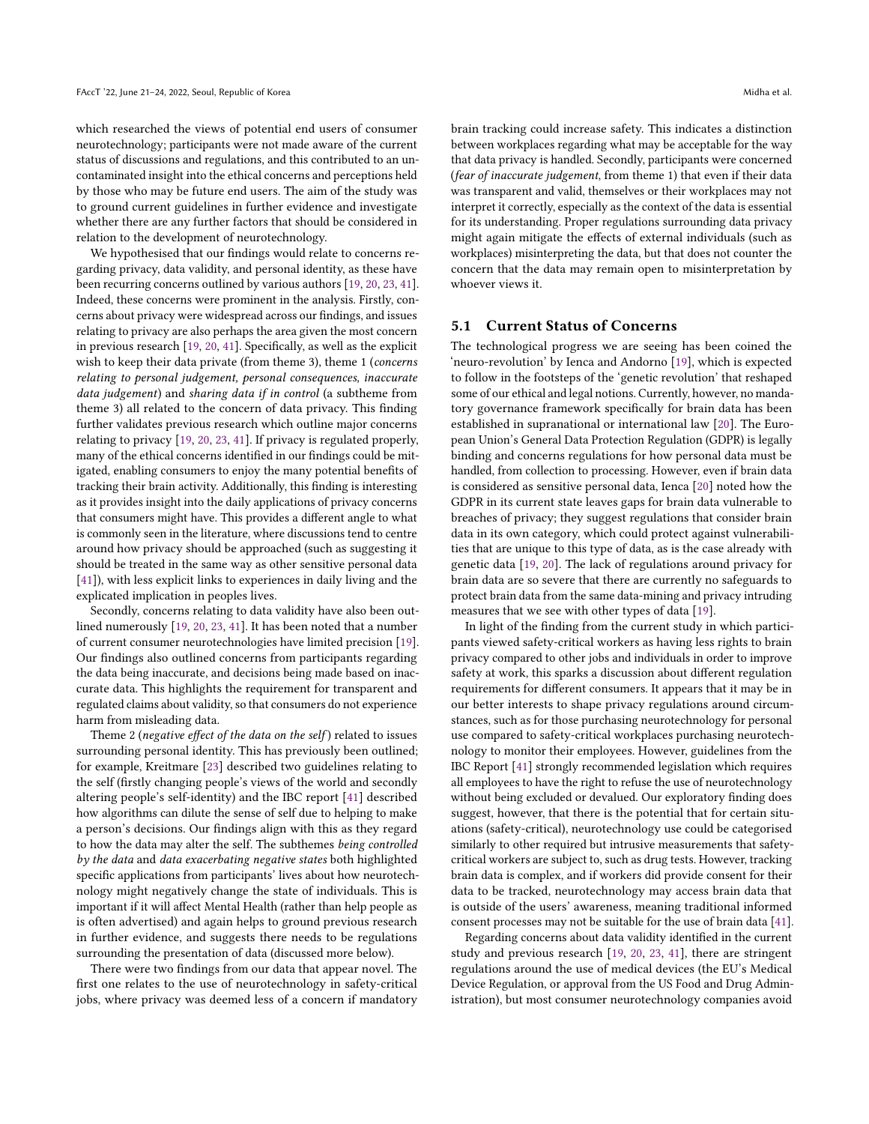which researched the views of potential end users of consumer neurotechnology; participants were not made aware of the current status of discussions and regulations, and this contributed to an uncontaminated insight into the ethical concerns and perceptions held by those who may be future end users. The aim of the study was to ground current guidelines in further evidence and investigate whether there are any further factors that should be considered in relation to the development of neurotechnology.

We hypothesised that our findings would relate to concerns regarding privacy, data validity, and personal identity, as these have been recurring concerns outlined by various authors [\[19,](#page-9-32) [20,](#page-9-6) [23,](#page-9-2) [41\]](#page-9-5). Indeed, these concerns were prominent in the analysis. Firstly, concerns about privacy were widespread across our findings, and issues relating to privacy are also perhaps the area given the most concern in previous research [\[19,](#page-9-32) [20,](#page-9-6) [41\]](#page-9-5). Specifically, as well as the explicit wish to keep their data private (from theme 3), theme 1 (concerns relating to personal judgement, personal consequences, inaccurate data judgement) and sharing data if in control (a subtheme from theme 3) all related to the concern of data privacy. This finding further validates previous research which outline major concerns relating to privacy [\[19,](#page-9-32) [20,](#page-9-6) [23,](#page-9-2) [41\]](#page-9-5). If privacy is regulated properly, many of the ethical concerns identified in our findings could be mitigated, enabling consumers to enjoy the many potential benefits of tracking their brain activity. Additionally, this finding is interesting as it provides insight into the daily applications of privacy concerns that consumers might have. This provides a different angle to what is commonly seen in the literature, where discussions tend to centre around how privacy should be approached (such as suggesting it should be treated in the same way as other sensitive personal data [\[41\]](#page-9-5)), with less explicit links to experiences in daily living and the explicated implication in peoples lives.

Secondly, concerns relating to data validity have also been outlined numerously [\[19,](#page-9-32) [20,](#page-9-6) [23,](#page-9-2) [41\]](#page-9-5). It has been noted that a number of current consumer neurotechnologies have limited precision [\[19\]](#page-9-32). Our findings also outlined concerns from participants regarding the data being inaccurate, and decisions being made based on inaccurate data. This highlights the requirement for transparent and regulated claims about validity, so that consumers do not experience harm from misleading data.

Theme 2 (negative effect of the data on the self) related to issues surrounding personal identity. This has previously been outlined; for example, Kreitmare [\[23\]](#page-9-2) described two guidelines relating to the self (firstly changing people's views of the world and secondly altering people's self-identity) and the IBC report [\[41\]](#page-9-5) described how algorithms can dilute the sense of self due to helping to make a person's decisions. Our findings align with this as they regard to how the data may alter the self. The subthemes being controlled by the data and data exacerbating negative states both highlighted specific applications from participants' lives about how neurotechnology might negatively change the state of individuals. This is important if it will affect Mental Health (rather than help people as is often advertised) and again helps to ground previous research in further evidence, and suggests there needs to be regulations surrounding the presentation of data (discussed more below).

There were two findings from our data that appear novel. The first one relates to the use of neurotechnology in safety-critical jobs, where privacy was deemed less of a concern if mandatory brain tracking could increase safety. This indicates a distinction between workplaces regarding what may be acceptable for the way that data privacy is handled. Secondly, participants were concerned (fear of inaccurate judgement, from theme 1) that even if their data was transparent and valid, themselves or their workplaces may not interpret it correctly, especially as the context of the data is essential for its understanding. Proper regulations surrounding data privacy might again mitigate the effects of external individuals (such as workplaces) misinterpreting the data, but that does not counter the concern that the data may remain open to misinterpretation by whoever views it.

## 5.1 Current Status of Concerns

The technological progress we are seeing has been coined the 'neuro-revolution' by Ienca and Andorno [\[19\]](#page-9-32), which is expected to follow in the footsteps of the 'genetic revolution' that reshaped some of our ethical and legal notions. Currently, however, no mandatory governance framework specifically for brain data has been established in supranational or international law [\[20\]](#page-9-6). The European Union's General Data Protection Regulation (GDPR) is legally binding and concerns regulations for how personal data must be handled, from collection to processing. However, even if brain data is considered as sensitive personal data, Ienca [\[20\]](#page-9-6) noted how the GDPR in its current state leaves gaps for brain data vulnerable to breaches of privacy; they suggest regulations that consider brain data in its own category, which could protect against vulnerabilities that are unique to this type of data, as is the case already with genetic data [\[19,](#page-9-32) [20\]](#page-9-6). The lack of regulations around privacy for brain data are so severe that there are currently no safeguards to protect brain data from the same data-mining and privacy intruding measures that we see with other types of data [\[19\]](#page-9-32).

In light of the finding from the current study in which participants viewed safety-critical workers as having less rights to brain privacy compared to other jobs and individuals in order to improve safety at work, this sparks a discussion about different regulation requirements for different consumers. It appears that it may be in our better interests to shape privacy regulations around circumstances, such as for those purchasing neurotechnology for personal use compared to safety-critical workplaces purchasing neurotechnology to monitor their employees. However, guidelines from the IBC Report [\[41\]](#page-9-5) strongly recommended legislation which requires all employees to have the right to refuse the use of neurotechnology without being excluded or devalued. Our exploratory finding does suggest, however, that there is the potential that for certain situations (safety-critical), neurotechnology use could be categorised similarly to other required but intrusive measurements that safetycritical workers are subject to, such as drug tests. However, tracking brain data is complex, and if workers did provide consent for their data to be tracked, neurotechnology may access brain data that is outside of the users' awareness, meaning traditional informed consent processes may not be suitable for the use of brain data [\[41\]](#page-9-5).

Regarding concerns about data validity identified in the current study and previous research [\[19,](#page-9-32) [20,](#page-9-6) [23,](#page-9-2) [41\]](#page-9-5), there are stringent regulations around the use of medical devices (the EU's Medical Device Regulation, or approval from the US Food and Drug Administration), but most consumer neurotechnology companies avoid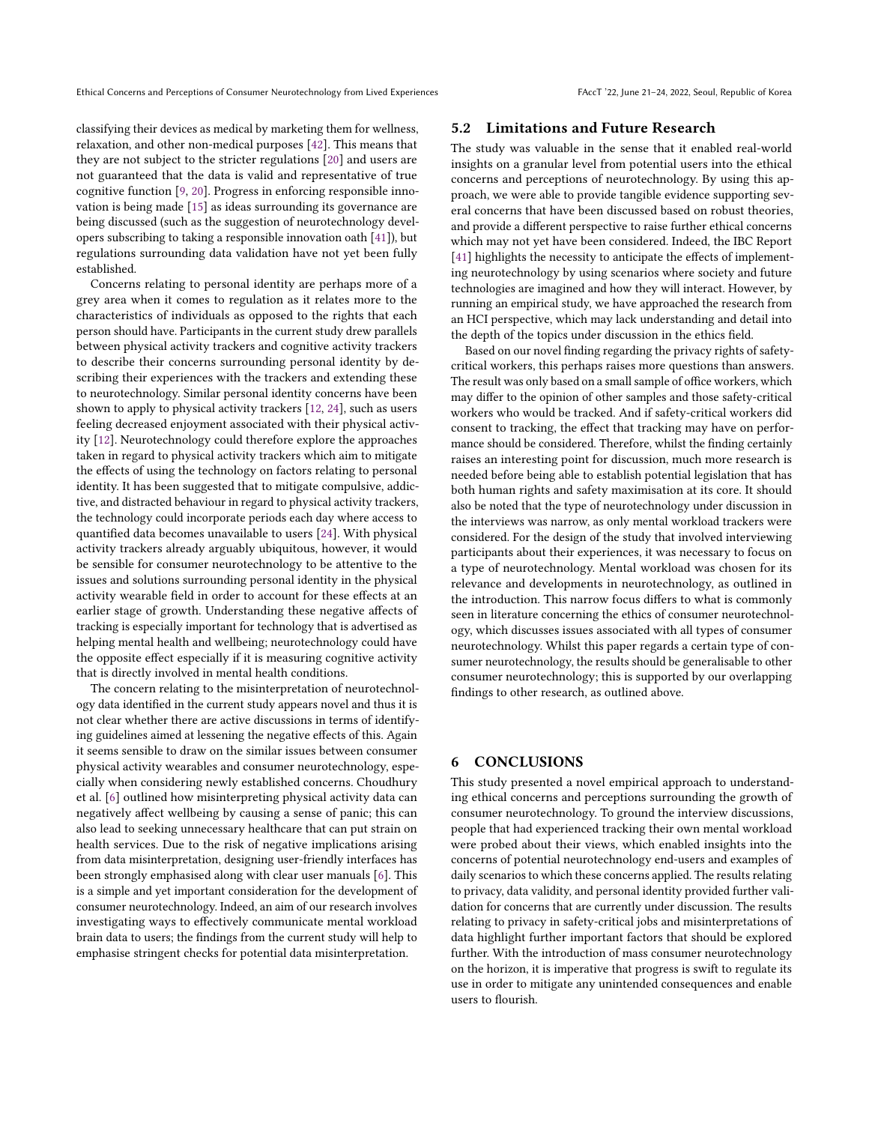classifying their devices as medical by marketing them for wellness, relaxation, and other non-medical purposes [\[42\]](#page-9-7). This means that they are not subject to the stricter regulations [\[20\]](#page-9-6) and users are not guaranteed that the data is valid and representative of true cognitive function [\[9,](#page-9-1) [20\]](#page-9-6). Progress in enforcing responsible innovation is being made [\[15\]](#page-9-42) as ideas surrounding its governance are being discussed (such as the suggestion of neurotechnology developers subscribing to taking a responsible innovation oath [\[41\]](#page-9-5)), but regulations surrounding data validation have not yet been fully established.

Concerns relating to personal identity are perhaps more of a grey area when it comes to regulation as it relates more to the characteristics of individuals as opposed to the rights that each person should have. Participants in the current study drew parallels between physical activity trackers and cognitive activity trackers to describe their concerns surrounding personal identity by describing their experiences with the trackers and extending these to neurotechnology. Similar personal identity concerns have been shown to apply to physical activity trackers [\[12,](#page-9-43) [24\]](#page-9-44), such as users feeling decreased enjoyment associated with their physical activity [\[12\]](#page-9-43). Neurotechnology could therefore explore the approaches taken in regard to physical activity trackers which aim to mitigate the effects of using the technology on factors relating to personal identity. It has been suggested that to mitigate compulsive, addictive, and distracted behaviour in regard to physical activity trackers, the technology could incorporate periods each day where access to quantified data becomes unavailable to users [\[24\]](#page-9-44). With physical activity trackers already arguably ubiquitous, however, it would be sensible for consumer neurotechnology to be attentive to the issues and solutions surrounding personal identity in the physical activity wearable field in order to account for these effects at an earlier stage of growth. Understanding these negative affects of tracking is especially important for technology that is advertised as helping mental health and wellbeing; neurotechnology could have the opposite effect especially if it is measuring cognitive activity that is directly involved in mental health conditions.

The concern relating to the misinterpretation of neurotechnology data identified in the current study appears novel and thus it is not clear whether there are active discussions in terms of identifying guidelines aimed at lessening the negative effects of this. Again it seems sensible to draw on the similar issues between consumer physical activity wearables and consumer neurotechnology, especially when considering newly established concerns. Choudhury et al. [\[6\]](#page-9-45) outlined how misinterpreting physical activity data can negatively affect wellbeing by causing a sense of panic; this can also lead to seeking unnecessary healthcare that can put strain on health services. Due to the risk of negative implications arising from data misinterpretation, designing user-friendly interfaces has been strongly emphasised along with clear user manuals [\[6\]](#page-9-45). This is a simple and yet important consideration for the development of consumer neurotechnology. Indeed, an aim of our research involves investigating ways to effectively communicate mental workload brain data to users; the findings from the current study will help to emphasise stringent checks for potential data misinterpretation.

#### 5.2 Limitations and Future Research

The study was valuable in the sense that it enabled real-world insights on a granular level from potential users into the ethical concerns and perceptions of neurotechnology. By using this approach, we were able to provide tangible evidence supporting several concerns that have been discussed based on robust theories, and provide a different perspective to raise further ethical concerns which may not yet have been considered. Indeed, the IBC Report [\[41\]](#page-9-5) highlights the necessity to anticipate the effects of implementing neurotechnology by using scenarios where society and future technologies are imagined and how they will interact. However, by running an empirical study, we have approached the research from an HCI perspective, which may lack understanding and detail into the depth of the topics under discussion in the ethics field.

Based on our novel finding regarding the privacy rights of safetycritical workers, this perhaps raises more questions than answers. The result was only based on a small sample of office workers, which may differ to the opinion of other samples and those safety-critical workers who would be tracked. And if safety-critical workers did consent to tracking, the effect that tracking may have on performance should be considered. Therefore, whilst the finding certainly raises an interesting point for discussion, much more research is needed before being able to establish potential legislation that has both human rights and safety maximisation at its core. It should also be noted that the type of neurotechnology under discussion in the interviews was narrow, as only mental workload trackers were considered. For the design of the study that involved interviewing participants about their experiences, it was necessary to focus on a type of neurotechnology. Mental workload was chosen for its relevance and developments in neurotechnology, as outlined in the introduction. This narrow focus differs to what is commonly seen in literature concerning the ethics of consumer neurotechnology, which discusses issues associated with all types of consumer neurotechnology. Whilst this paper regards a certain type of consumer neurotechnology, the results should be generalisable to other consumer neurotechnology; this is supported by our overlapping findings to other research, as outlined above.

#### 6 CONCLUSIONS

This study presented a novel empirical approach to understanding ethical concerns and perceptions surrounding the growth of consumer neurotechnology. To ground the interview discussions, people that had experienced tracking their own mental workload were probed about their views, which enabled insights into the concerns of potential neurotechnology end-users and examples of daily scenarios to which these concerns applied. The results relating to privacy, data validity, and personal identity provided further validation for concerns that are currently under discussion. The results relating to privacy in safety-critical jobs and misinterpretations of data highlight further important factors that should be explored further. With the introduction of mass consumer neurotechnology on the horizon, it is imperative that progress is swift to regulate its use in order to mitigate any unintended consequences and enable users to flourish.